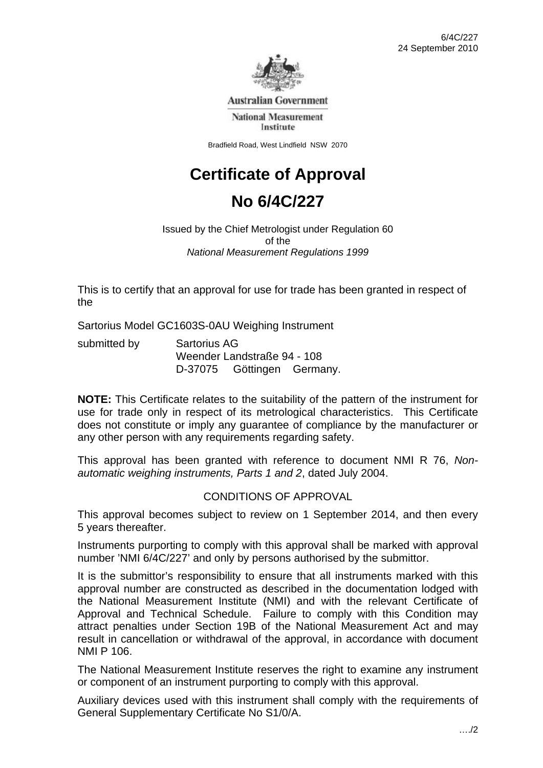

**Australian Government** 

**National Measurement** Institute

Bradfield Road, West Lindfield NSW 2070

# **Certificate of Approval**

# **No 6/4C/227**

Issued by the Chief Metrologist under Regulation 60 of the *National Measurement Regulations 1999* 

This is to certify that an approval for use for trade has been granted in respect of the

Sartorius Model GC1603S-0AU Weighing Instrument

| submitted by | <b>Sartorius AG</b><br>Weender Landstraße 94 - 108 |  |  |
|--------------|----------------------------------------------------|--|--|
|              |                                                    |  |  |

**NOTE:** This Certificate relates to the suitability of the pattern of the instrument for use for trade only in respect of its metrological characteristics. This Certificate does not constitute or imply any guarantee of compliance by the manufacturer or any other person with any requirements regarding safety.

This approval has been granted with reference to document NMI R 76, *Nonautomatic weighing instruments, Parts 1 and 2*, dated July 2004.

#### CONDITIONS OF APPROVAL

This approval becomes subject to review on 1 September 2014, and then every 5 years thereafter.

Instruments purporting to comply with this approval shall be marked with approval number 'NMI 6/4C/227' and only by persons authorised by the submittor.

It is the submittor's responsibility to ensure that all instruments marked with this approval number are constructed as described in the documentation lodged with the National Measurement Institute (NMI) and with the relevant Certificate of Approval and Technical Schedule. Failure to comply with this Condition may attract penalties under Section 19B of the National Measurement Act and may result in cancellation or withdrawal of the approval, in accordance with document NMI P 106.

The National Measurement Institute reserves the right to examine any instrument or component of an instrument purporting to comply with this approval.

Auxiliary devices used with this instrument shall comply with the requirements of General Supplementary Certificate No S1/0/A.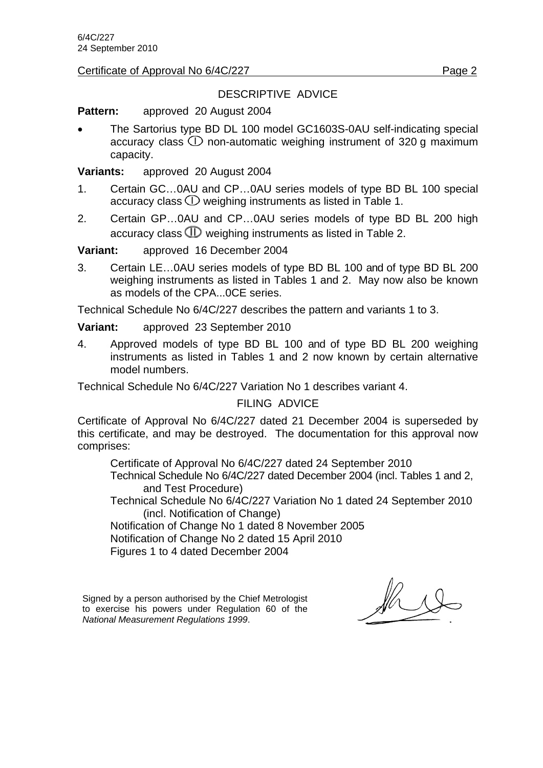Certificate of Approval No 6/4C/227 Page 2

# DESCRIPTIVE ADVICE

**Pattern:** approved 20 August 2004

 The Sartorius type BD DL 100 model GC1603S-0AU self-indicating special accuracy class  $\mathbb O$  non-automatic weighing instrument of 320 g maximum capacity.

**Variants:** approved 20 August 2004

- 1. Certain GC…0AU and CP…0AU series models of type BD BL 100 special accuracy class  $\mathbb D$  weighing instruments as listed in Table 1.
- 2. Certain GP…0AU and CP…0AU series models of type BD BL 200 high accuracy class  $\times$  weighing instruments as listed in Table 2.

**Variant:** approved 16 December 2004

3. Certain LE…0AU series models of type BD BL 100 and of type BD BL 200 weighing instruments as listed in Tables 1 and 2. May now also be known as models of the CPA...0CE series.

Technical Schedule No 6/4C/227 describes the pattern and variants 1 to 3.

**Variant:** approved 23 September 2010

4. Approved models of type BD BL 100 and of type BD BL 200 weighing instruments as listed in Tables 1 and 2 now known by certain alternative model numbers.

Technical Schedule No 6/4C/227 Variation No 1 describes variant 4.

FILING ADVICE

Certificate of Approval No 6/4C/227 dated 21 December 2004 is superseded by this certificate, and may be destroyed. The documentation for this approval now comprises:

Certificate of Approval No 6/4C/227 dated 24 September 2010

 Technical Schedule No 6/4C/227 dated December 2004 (incl. Tables 1 and 2, and Test Procedure)

Technical Schedule No 6/4C/227 Variation No 1 dated 24 September 2010 (incl. Notification of Change)

Notification of Change No 1 dated 8 November 2005

Notification of Change No 2 dated 15 April 2010

Figures 1 to 4 dated December 2004

Signed by a person authorised by the Chief Metrologist to exercise his powers under Regulation 60 of the *National Measurement Regulations 1999*.

 $\frac{1}{\sqrt{2}}$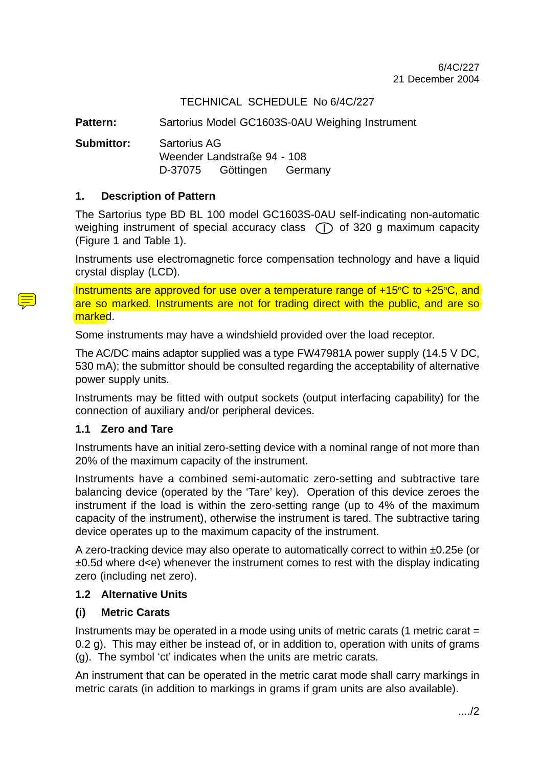# TECHNICAL SCHEDULE No 6/4C/227

**Pattern:** Sartorius Model GC1603S-0AU Weighing Instrument

**Submittor:** Sartorius AG Weender Landstraße 94 - 108 D-37075 Göttingen Germany

#### **1. Description of Pattern**

The Sartorius type BD BL 100 model GC1603S-0AU self-indicating non-automatic weighing instrument of special accuracy class  $\cap$  of 320 g maximum capacity (Figure 1 and Table 1).

Instruments use electromagnetic force compensation technology and have a liquid crystal display (LCD).

Instruments are approved for use over a temperature range of  $+15^{\circ}C$  to  $+25^{\circ}C$ , and are so marked. Instruments are not for trading direct with the public, and are so marked.

Some instruments may have a windshield provided over the load receptor.

The AC/DC mains adaptor supplied was a type FW47981A power supply (14.5 V DC, 530 mA); the submittor should be consulted regarding the acceptability of alternative power supply units.

Instruments may be fitted with output sockets (output interfacing capability) for the connection of auxiliary and/or peripheral devices.

#### **1.1 Zero and Tare**

Instruments have an initial zero-setting device with a nominal range of not more than 20% of the maximum capacity of the instrument.

Instruments have a combined semi-automatic zero-setting and subtractive tare balancing device (operated by the 'Tare' key). Operation of this device zeroes the instrument if the load is within the zero-setting range (up to 4% of the maximum capacity of the instrument), otherwise the instrument is tared. The subtractive taring device operates up to the maximum capacity of the instrument.

A zero-tracking device may also operate to automatically correct to within ±0.25e (or  $\pm 0.5d$  where d<e) whenever the instrument comes to rest with the display indicating zero (including net zero).

#### **1.2 Alternative Units**

#### **(i) Metric Carats**

Instruments may be operated in a mode using units of metric carats (1 metric carat = 0.2 g). This may either be instead of, or in addition to, operation with units of grams (g). The symbol 'ct' indicates when the units are metric carats.

An instrument that can be operated in the metric carat mode shall carry markings in metric carats (in addition to markings in grams if gram units are also available).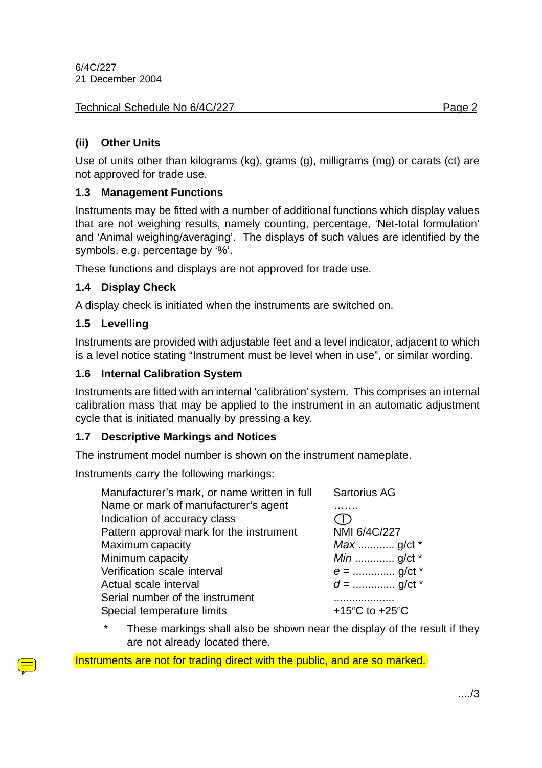# **(ii) Other Units**

Use of units other than kilograms (kg), grams (g), milligrams (mg) or carats (ct) are not approved for trade use.

# **1.3 Management Functions**

Instruments may be fitted with a number of additional functions which display values that are not weighing results, namely counting, percentage, 'Net-total formulation' and 'Animal weighing/averaging'. The displays of such values are identified by the symbols, e.g. percentage by '%'.

These functions and displays are not approved for trade use.

# **1.4 Display Check**

A display check is initiated when the instruments are switched on.

# **1.5 Levelling**

Instruments are provided with adjustable feet and a level indicator, adjacent to which is a level notice stating "Instrument must be level when in use", or similar wording.

# **1.6 Internal Calibration System**

Instruments are fitted with an internal 'calibration' system. This comprises an internal calibration mass that may be applied to the instrument in an automatic adjustment cycle that is initiated manually by pressing a key.

# **1.7 Descriptive Markings and Notices**

The instrument model number is shown on the instrument nameplate.

Instruments carry the following markings:

| Manufacturer's mark, or name written in full                  | <b>Sartorius AG</b>                                  |
|---------------------------------------------------------------|------------------------------------------------------|
| Name or mark of manufacturer's agent                          |                                                      |
| Indication of accuracy class                                  |                                                      |
| Pattern approval mark for the instrument                      | NMI 6/4C/227                                         |
| Maximum capacity                                              |                                                      |
| Minimum capacity                                              |                                                      |
| Verification scale interval                                   |                                                      |
| Actual scale interval                                         |                                                      |
| Serial number of the instrument<br>Special temperature limits | +15 $\mathrm{^{\circ}C}$ to +25 $\mathrm{^{\circ}C}$ |

These markings shall also be shown near the display of the result if they are not already located there.

Instruments are not for trading direct with the public, and are so marked.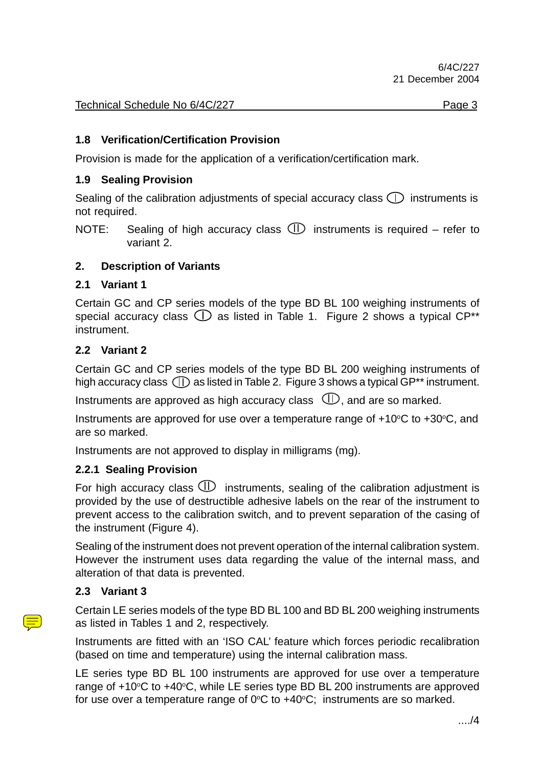### **1.8 Verification/Certification Provision**

Provision is made for the application of a verification/certification mark.

#### **1.9 Sealing Provision**

Sealing of the calibration adjustments of special accuracy class  $\bigcap$  instruments is not required.

#### **2. Description of Variants**

#### **2.1 Variant 1**

Certain GC and CP series models of the type BD BL 100 weighing instruments of special accuracy class  $\mathbb O$  as listed in Table 1. Figure 2 shows a typical CP<sup>\*\*</sup> instrument.

#### **2.2 Variant 2**

Certain GC and CP series models of the type BD BL 200 weighing instruments of high accuracy class  $(1)$  as listed in Table 2. Figure 3 shows a typical GP\*\* instrument.

Instruments are approved as high accuracy class  $\mathbb{\Phi}$ , and are so marked.

Instruments are approved for use over a temperature range of  $+10^{\circ}C$  to  $+30^{\circ}C$ , and are so marked.

Instruments are not approved to display in milligrams (mg).

#### **2.2.1 Sealing Provision**

For high accuracy class  $\mathbb D$  instruments, sealing of the calibration adjustment is provided by the use of destructible adhesive labels on the rear of the instrument to prevent access to the calibration switch, and to prevent separation of the casing of the instrument (Figure 4).

Sealing of the instrument does not prevent operation of the internal calibration system. However the instrument uses data regarding the value of the internal mass, and alteration of that data is prevented.

#### **2.3 Variant 3**

Certain LE series models of the type BD BL 100 and BD BL 200 weighing instruments as listed in Tables 1 and 2, respectively.

Instruments are fitted with an 'ISO CAL' feature which forces periodic recalibration (based on time and temperature) using the internal calibration mass.

LE series type BD BL 100 instruments are approved for use over a temperature range of  $+10^{\circ}$ C to  $+40^{\circ}$ C, while LE series type BD BL 200 instruments are approved for use over a temperature range of 0°C to +40°C; instruments are so marked.

NOTE: Sealing of high accuracy class  $\mathbb D$  instruments is required – refer to variant 2.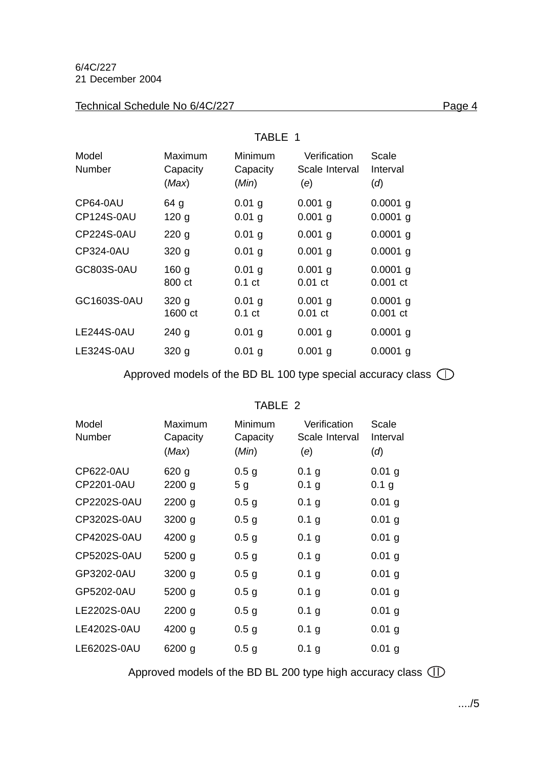#### Technical Schedule No 6/4C/227 Page 4

|                        | TABLE 1                      |                               |                                       |                          |
|------------------------|------------------------------|-------------------------------|---------------------------------------|--------------------------|
| Model<br><b>Number</b> | Maximum<br>Capacity<br>(Max) | Minimum<br>Capacity<br>(Min)  | Verification<br>Scale Interval<br>(e) | Scale<br>Interval<br>(d) |
| CP64-0AU<br>CP124S-0AU | 64 g<br>120 <sub>g</sub>     | $0.01$ g<br>$0.01$ g          | $0.001$ g<br>$0.001$ g                | $0.0001$ g<br>$0.0001$ g |
| <b>CP224S-0AU</b>      | 220 <sub>g</sub>             | $0.01$ g                      | $0.001$ g                             | $0.0001$ g               |
| CP324-0AU              | 320 <sub>g</sub>             | $0.01$ g                      | $0.001$ g                             | $0.0001$ g               |
| GC803S-0AU             | 160 <sub>g</sub><br>800 ct   | $0.01$ g<br>0.1 <sub>ct</sub> | $0.001$ g<br>$0.01$ ct                | $0.0001$ g<br>$0.001$ ct |
| GC1603S-0AU            | 320 <sub>g</sub><br>1600 ct  | $0.01$ g<br>0.1 <sub>ct</sub> | $0.001$ g<br>$0.01$ ct                | $0.0001$ g<br>$0.001$ ct |
| LE244S-0AU             | 240 <sub>g</sub>             | $0.01$ g                      | $0.001$ g                             | $0.0001$ g               |
| <b>LE324S-0AU</b>      | 320 <sub>g</sub>             | $0.01$ g                      | $0.001$ g                             | $0.0001$ g               |

Approved models of the BD BL 100 type special accuracy class  $\bigcirc$ 

### TABLE 2

| Model<br>Number         | Maximum<br>Capacity<br>(Max) | Minimum<br>Capacity<br>(Min)       | Verification<br>Scale Interval<br>(e) | Scale<br>Interval<br>(d)     |
|-------------------------|------------------------------|------------------------------------|---------------------------------------|------------------------------|
| CP622-0AU<br>CP2201-0AU | 620 <sub>g</sub><br>2200 g   | 0.5 <sub>g</sub><br>5 <sub>g</sub> | 0.1 g<br>0.1 g                        | $0.01$ g<br>0.1 <sub>g</sub> |
| CP2202S-0AU             | 2200 g                       | 0.5 <sub>g</sub>                   | 0.1 g                                 | $0.01$ g                     |
| CP3202S-0AU             | $3200$ g                     | 0.5 <sub>g</sub>                   | 0.1 g                                 | $0.01$ g                     |
| CP4202S-0AU             | 4200 g                       | 0.5 <sub>g</sub>                   | 0.1 g                                 | $0.01$ g                     |
| CP5202S-0AU             | 5200 g                       | 0.5 <sub>g</sub>                   | 0.1 g                                 | $0.01$ g                     |
| GP3202-0AU              | $3200$ g                     | 0.5 <sub>g</sub>                   | 0.1 g                                 | $0.01$ g                     |
| GP5202-0AU              | 5200 g                       | 0.5 <sub>g</sub>                   | 0.1 g                                 | $0.01$ g                     |
| LE2202S-0AU             | $2200$ g                     | 0.5 <sub>g</sub>                   | 0.1 g                                 | $0.01$ g                     |
| LE4202S-0AU             | 4200 g                       | 0.5 <sub>g</sub>                   | 0.1 g                                 | $0.01$ g                     |
| LE6202S-0AU             | 6200 g                       | 0.5 <sub>g</sub>                   | 0.1 g                                 | $0.01$ g                     |

Approved models of the BD BL 200 type high accuracy class  $\mathbb{D}$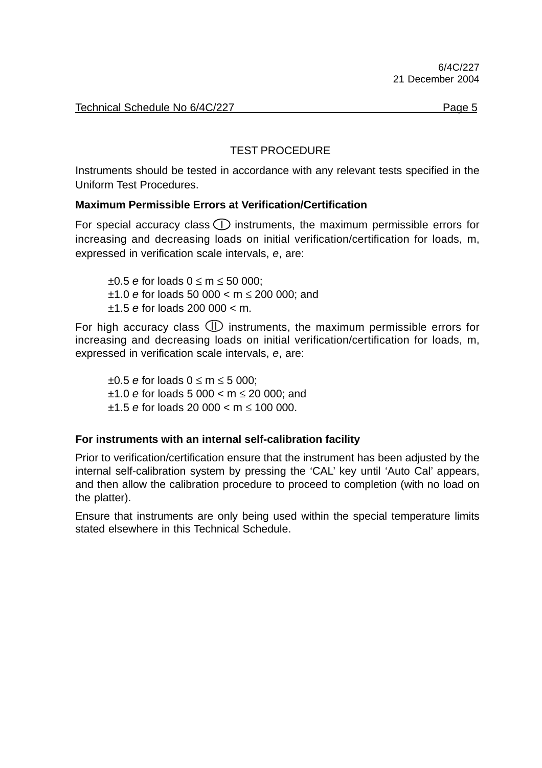# TEST PROCEDURE

Instruments should be tested in accordance with any relevant tests specified in the Uniform Test Procedures.

# **Maximum Permissible Errors at Verification/Certification**

For special accuracy class  $\bigcirc$  instruments, the maximum permissible errors for increasing and decreasing loads on initial verification/certification for loads, m, expressed in verification scale intervals, *e*, are:

±0.5 *e* for loads 0 ≤ m ≤ 50 000; ±1.0 *e* for loads 50 000 < m ≤ 200 000; and ±1.5 *e* for loads 200 000 < m.

For high accuracy class  $\mathbb D$  instruments, the maximum permissible errors for increasing and decreasing loads on initial verification/certification for loads, m, expressed in verification scale intervals, *e*, are:

±0.5 *e* for loads 0 ≤ m ≤ 5 000; ±1.0 *e* for loads 5 000 < m ≤ 20 000; and ±1.5 *e* for loads 20 000 < m ≤ 100 000.

#### **For instruments with an internal self-calibration facility**

Prior to verification/certification ensure that the instrument has been adjusted by the internal self-calibration system by pressing the 'CAL' key until 'Auto Cal' appears, and then allow the calibration procedure to proceed to completion (with no load on the platter).

Ensure that instruments are only being used within the special temperature limits stated elsewhere in this Technical Schedule.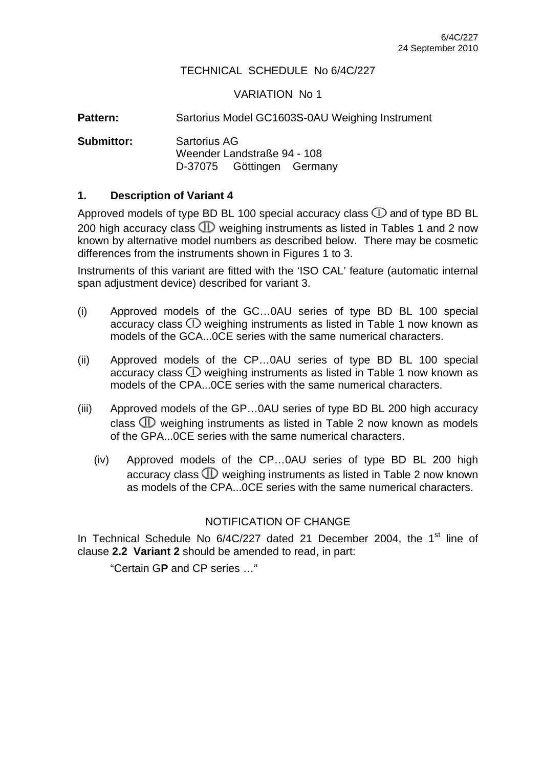#### TECHNICAL SCHEDULE No 6/4C/227

#### VARIATION No 1

Pattern: Sartorius Model GC1603S-0AU Weighing Instrument

**Submittor:** Sartorius AG Weender Landstraße 94 - 108 D-37075 Göttingen Germany

#### **1. Description of Variant 4**

Approved models of type BD BL 100 special accuracy class  $\mathbb O$  and of type BD BL 200 high accuracy class  $\times$  weighing instruments as listed in Tables 1 and 2 now known by alternative model numbers as described below. There may be cosmetic differences from the instruments shown in Figures 1 to 3.

Instruments of this variant are fitted with the 'ISO CAL' feature (automatic internal span adjustment device) described for variant 3.

- (i) Approved models of the GC…0AU series of type BD BL 100 special accuracy class  $\mathbb D$  weighing instruments as listed in Table 1 now known as models of the GCA...0CE series with the same numerical characters.
- (ii) Approved models of the CP…0AU series of type BD BL 100 special accuracy class  $\mathbb D$  weighing instruments as listed in Table 1 now known as models of the CPA...0CE series with the same numerical characters.
- (iii) Approved models of the GP…0AU series of type BD BL 200 high accuracy class  $\mathbbm{D}$  weighing instruments as listed in Table 2 now known as models of the GPA...0CE series with the same numerical characters.
	- (iv) Approved models of the CP…0AU series of type BD BL 200 high accuracy class  $\times$  weighing instruments as listed in Table 2 now known as models of the CPA...0CE series with the same numerical characters.

#### NOTIFICATION OF CHANGE

In Technical Schedule No 6/4C/227 dated 21 December 2004, the 1<sup>st</sup> line of clause **2.2 Variant 2** should be amended to read, in part:

"Certain G**P** and CP series …"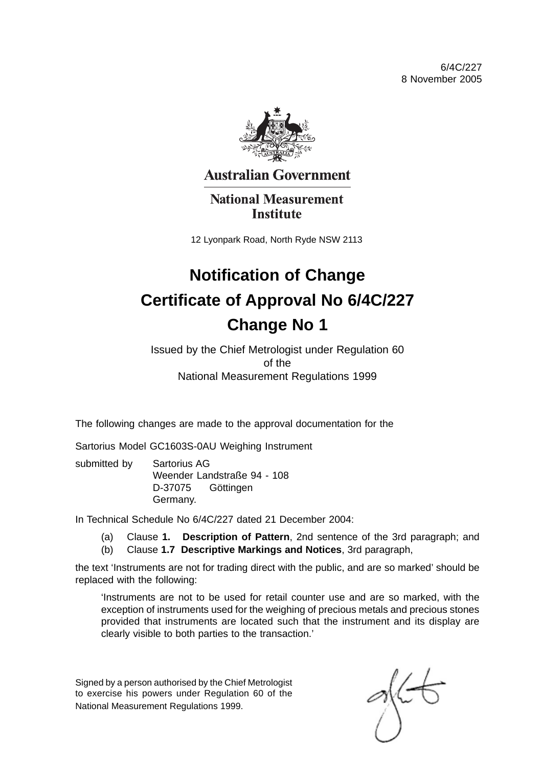6/4C/227 8 November 2005



**Australian Government** 

**National Measurement Institute** 

12 Lyonpark Road, North Ryde NSW 2113

# **Notification of Change Certificate of Approval No 6/4C/227 Change No 1**

Issued by the Chief Metrologist under Regulation 60 of the National Measurement Regulations 1999

The following changes are made to the approval documentation for the

Sartorius Model GC1603S-0AU Weighing Instrument

submitted by Sartorius AG Weender Landstraße 94 - 108 D-37075 Göttingen Germany.

In Technical Schedule No 6/4C/227 dated 21 December 2004:

- (a) Clause **1. Description of Pattern**, 2nd sentence of the 3rd paragraph; and
- (b) Clause **1.7 Descriptive Markings and Notices**, 3rd paragraph,

the text 'Instruments are not for trading direct with the public, and are so marked' should be replaced with the following:

'Instruments are not to be used for retail counter use and are so marked, with the exception of instruments used for the weighing of precious metals and precious stones provided that instruments are located such that the instrument and its display are clearly visible to both parties to the transaction.'

Signed by a person authorised by the Chief Metrologist to exercise his powers under Regulation 60 of the National Measurement Regulations 1999.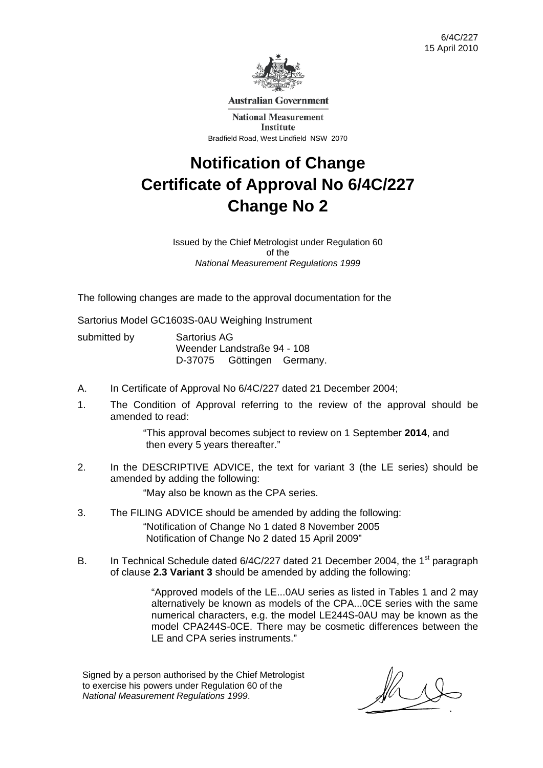

**Australian Government** 

**National Measurement Institute** Bradfield Road, West Lindfield NSW 2070

# **Notification of Change Certificate of Approval No 6/4C/227 Change No 2**

Issued by the Chief Metrologist under Regulation 60 of the *National Measurement Regulations 1999* 

The following changes are made to the approval documentation for the

Sartorius Model GC1603S-0AU Weighing Instrument

| submitted by | Sartorius AG<br>Weender Landstraße 94 - 108 |  |  |
|--------------|---------------------------------------------|--|--|
|              |                                             |  |  |

- A. In Certificate of Approval No 6/4C/227 dated 21 December 2004;
- 1. The Condition of Approval referring to the review of the approval should be amended to read:

"This approval becomes subject to review on 1 September **2014**, and then every 5 years thereafter."

2. In the DESCRIPTIVE ADVICE, the text for variant 3 (the LE series) should be amended by adding the following:

"May also be known as the CPA series.

- 3. The FILING ADVICE should be amended by adding the following: "Notification of Change No 1 dated 8 November 2005 Notification of Change No 2 dated 15 April 2009"
- B. In Technical Schedule dated 6/4C/227 dated 21 December 2004, the 1<sup>st</sup> paragraph of clause **2.3 Variant 3** should be amended by adding the following:

 "Approved models of the LE...0AU series as listed in Tables 1 and 2 may alternatively be known as models of the CPA...0CE series with the same numerical characters, e.g. the model LE244S-0AU may be known as the model CPA244S-0CE. There may be cosmetic differences between the LE and CPA series instruments."

Signed by a person authorised by the Chief Metrologist to exercise his powers under Regulation 60 of the *National Measurement Regulations 1999*.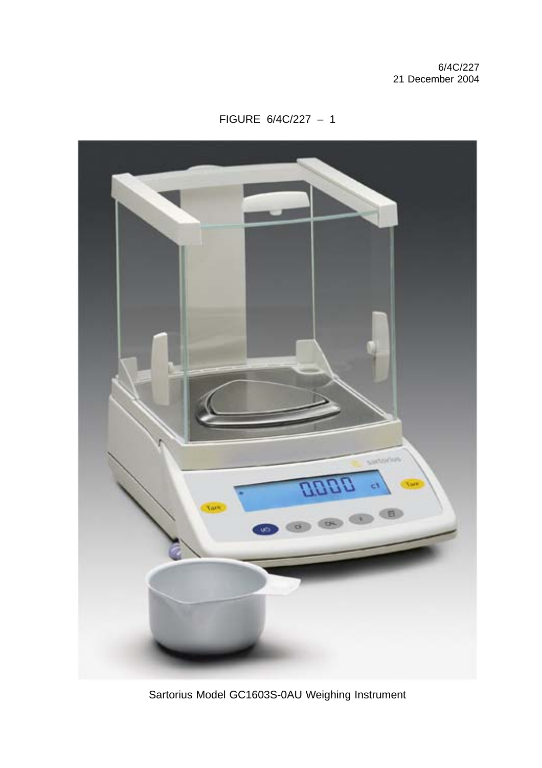FIGURE 6/4C/227 – 1



Sartorius Model GC1603S-0AU Weighing Instrument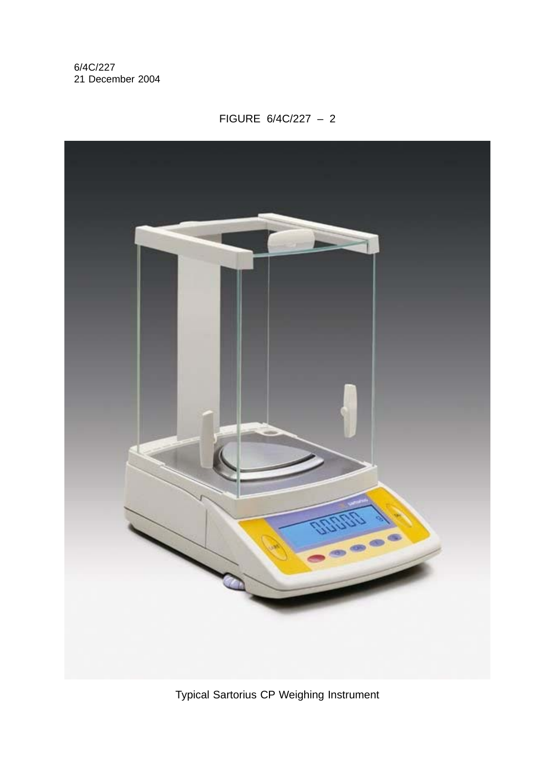# FIGURE 6/4C/227 – 2



Typical Sartorius CP Weighing Instrument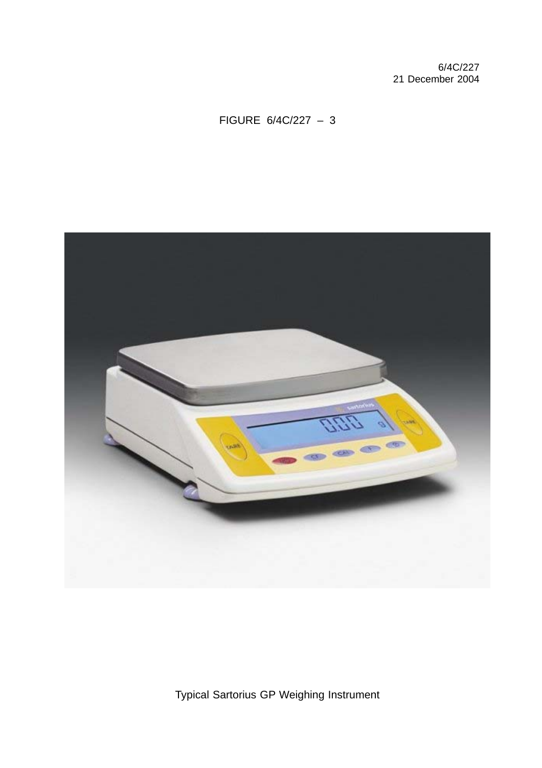# FIGURE 6/4C/227 – 3



Typical Sartorius GP Weighing Instrument